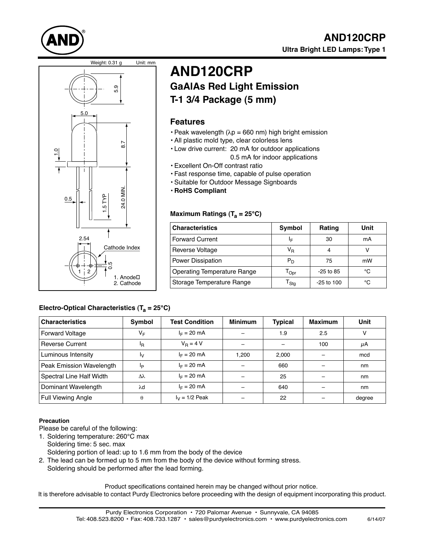





# **AND120CRP GaAlAs Red Light Emission T-1 3/4 Package (5 mm)**

### **Features**

- Peak wavelength ( $\lambda p = 660$  nm) high bright emission
- All plastic mold type, clear colorless lens
- Low drive current: 20 mA for outdoor applications 0.5 mA for indoor applications
- Excellent On-Off contrast ratio
- Fast response time, capable of pulse operation
- Suitable for Outdoor Message Signboards
- **RoHS Compliant**

#### Maximum Ratings (T<sub>a</sub> = 25°C)

| <b>Characteristics</b>             | Symbol                      | Rating       | Unit |
|------------------------------------|-----------------------------|--------------|------|
| <b>Forward Current</b>             | ΙF                          | 30           | mA   |
| Reverse Voltage                    | V <sub>R</sub>              | 4            |      |
| Power Dissipation                  | $P_D$                       | 75           | mW   |
| <b>Operating Temperature Range</b> | $\Gamma_{\text{Opt}}$       | $-25$ to 85  | °۲   |
| Storage Temperature Range          | $\mathsf{r}_{\mathsf{Stg}}$ | $-25$ to 100 | °C   |

#### Electro-Optical Characteristics (T<sub>a</sub> = 25°C)

| <b>Characteristics</b>   | Symbol   | <b>Test Condition</b> | <b>Minimum</b> | <b>Typical</b> | <b>Maximum</b> | <b>Unit</b> |
|--------------------------|----------|-----------------------|----------------|----------------|----------------|-------------|
| Forward Voltage          | VF       | $I_F = 20$ mA         |                | 1.9            | 2.5            | v           |
| <b>Reverse Current</b>   | ΙŖ       | $V_{\rm B} = 4 V$     |                |                | 100            | μA          |
| Luminous Intensity       | Ιv       | $I_F = 20$ mA         | 1,200          | 2,000          |                | mcd         |
| Peak Emission Wavelength | Iр       | $I_F = 20$ mA         |                | 660            |                | nm          |
| Spectral Line Half Width | Δλ       | $I_F = 20$ mA         |                | 25             |                | nm          |
| Dominant Wavelength      | λd       | $I_F = 20$ mA         |                | 640            |                | nm          |
| Full Viewing Angle       | $\theta$ | $I_V = 1/2$ Peak      |                | 22             |                | degree      |

#### **Precaution**

Please be careful of the following:

- 1. Soldering temperature: 260°C max Soldering time: 5 sec. max Soldering portion of lead: up to 1.6 mm from the body of the device
- 2. The lead can be formed up to 5 mm from the body of the device without forming stress. Soldering should be performed after the lead forming.

Product specifications contained herein may be changed without prior notice.

It is therefore advisable to contact Purdy Electronics before proceeding with the design of equipment incorporating this product.